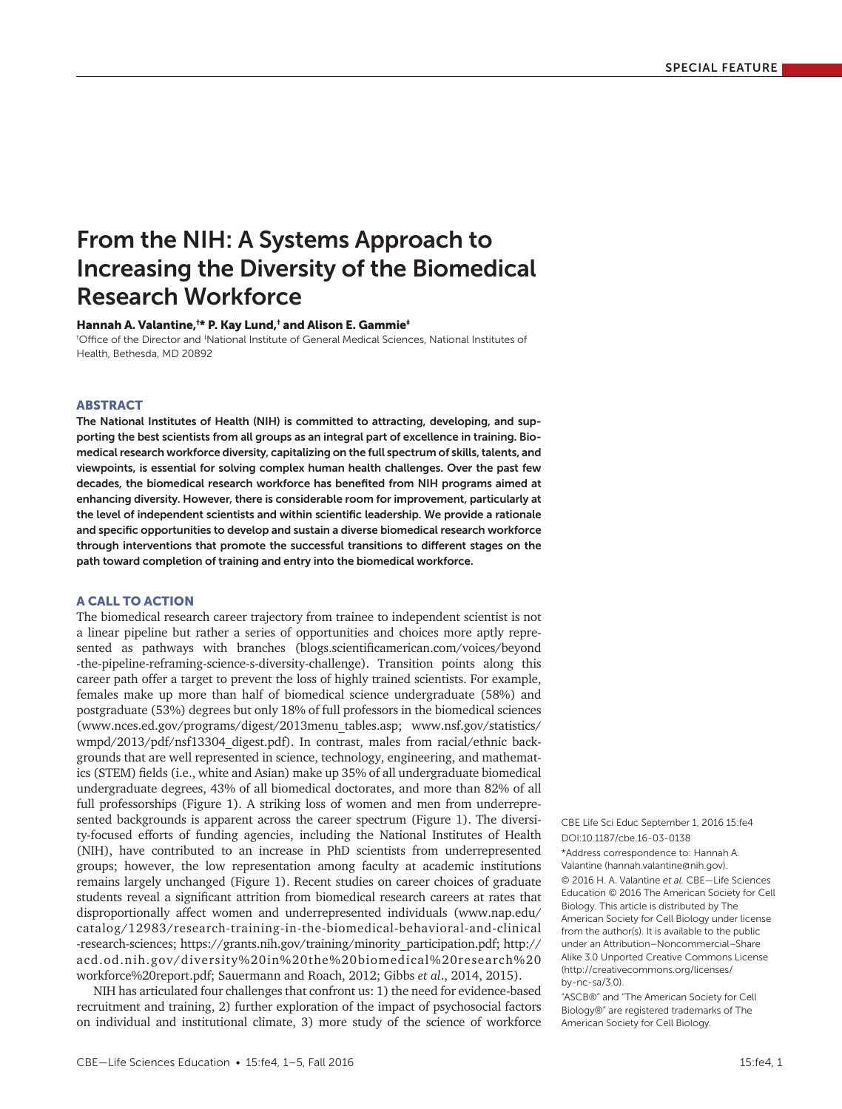# From the NIH: A Systems Approach to Increasing the Diversity of the Biomedical Research Workforce

Hannah A. Valantine,† \* P. Kay Lund,† and Alison E. Gammie‡

<sup>t</sup>Office of the Director and <sup>‡</sup>National Institute of General Medical Sciences, National Institutes of Health, Bethesda, MD 20892

## ABSTRACT

The National Institutes of Health (NIH) is committed to attracting, developing, and supporting the best scientists from all groups as an integral part of excellence in training. Biomedical research workforce diversity, capitalizing on the full spectrum of skills, talents, and viewpoints, is essential for solving complex human health challenges. Over the past few decades, the biomedical research workforce has benefited from NIH programs aimed at enhancing diversity. However, there is considerable room for improvement, particularly at the level of independent scientists and within scientific leadership. We provide a rationale and specific opportunities to develop and sustain a diverse biomedical research workforce through interventions that promote the successful transitions to different stages on the path toward completion of training and entry into the biomedical workforce.

## A CALL TO ACTION

The biomedical research career trajectory from trainee to independent scientist is not a linear pipeline but rather a series of opportunities and choices more aptly represented as pathways with branches ([blogs.scientificamerican.com/voices/beyond](http://blogs.scientificamerican.com/voices/beyond-the-pipeline-reframing-science-s-diversity-challenge) [-the-pipeline-reframing-science-s-diversity-challenge\)](http://blogs.scientificamerican.com/voices/beyond-the-pipeline-reframing-science-s-diversity-challenge). Transition points along this career path offer a target to prevent the loss of highly trained scientists. For example, females make up more than half of biomedical science undergraduate (58%) and postgraduate (53%) degrees but only 18% of full professors in the biomedical sciences (www.nces.ed.gov/programs/digest/2013menu\_tables.asp; [www.nsf.gov/statistics/](http://www.nsf.gov/statistics/wmpd/2013/pdf/nsf13304_digest.pdf) [wmpd/2013/pdf/nsf13304\\_digest.pdf](http://www.nsf.gov/statistics/wmpd/2013/pdf/nsf13304_digest.pdf)). In contrast, males from racial/ethnic backgrounds that are well represented in science, technology, engineering, and mathematics (STEM) fields (i.e., white and Asian) make up 35% of all undergraduate biomedical undergraduate degrees, 43% of all biomedical doctorates, and more than 82% of all full professorships (Figure 1). A striking loss of women and men from underrepresented backgrounds is apparent across the career spectrum (Figure 1). The diversity-focused efforts of funding agencies, including the National Institutes of Health (NIH), have contributed to an increase in PhD scientists from underrepresented groups; however, the low representation among faculty at academic institutions remains largely unchanged (Figure 1). Recent studies on career choices of graduate students reveal a significant attrition from biomedical research careers at rates that disproportionally affect women and underrepresented individuals (www.nap.edu/ catalog/12983/research-training-in-the-biomedical-behavioral-and-clinical -research-sciences; https://grants.nih.gov/training/minority\_participation.pdf; [http://](http://acd.od.nih.gov/diversity%20in%20the%20biomedical%20research%20workforce%20report.pdf) [acd.od.nih.gov/diversity%20in%20the%20biomedical%20research%20](http://acd.od.nih.gov/diversity%20in%20the%20biomedical%20research%20workforce%20report.pdf) [workforce%20report.pdf;](http://acd.od.nih.gov/diversity%20in%20the%20biomedical%20research%20workforce%20report.pdf) Sauermann and Roach, 2012; Gibbs *et al*., 2014, 2015).

NIH has articulated four challenges that confront us: 1) the need for evidence-based recruitment and training, 2) further exploration of the impact of psychosocial factors on individual and institutional climate, 3) more study of the science of workforce

DOI:10.1187/cbe.16-03-0138 \*Address correspondence to: Hannah A. Valantine (hannah.valantine@nih.gov). © 2016 H. A. Valantine *et al.* CBE—Life Sciences Education © 2016 The American Society for Cell Biology. This article is distributed by The American Society for Cell Biology under license from the author(s). It is available to the public under an Attribution–Noncommercial–Share Alike 3.0 Unported Creative Commons License (http://creativecommons.org/licenses/ by-nc-sa/3.0). CBE Life Sci Educ September 1, 2016 15:fe4

"ASCB®" and "The American Society for Cell Biology®" are registered trademarks of The American Society for Cell Biology.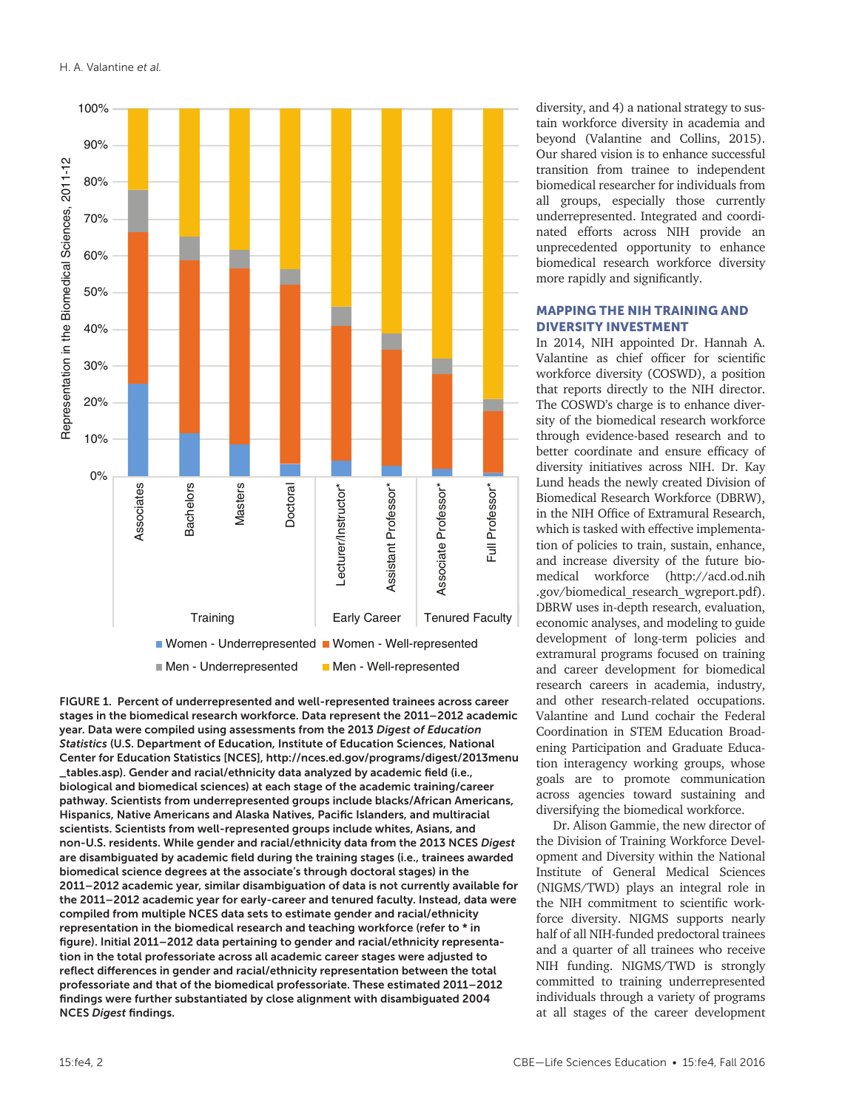

FIGURE 1. Percent of underrepresented and well-represented trainees across career stages in the biomedical research workforce. Data represent the 2011–2012 academic year. Data were compiled using assessments from the 2013 *Digest of Education Statistics* (U.S. Department of Education, Institute of Education Sciences, National Center for Education Statistics [NCES], [http://nces.ed.gov/programs/digest/2013menu](http://nces.ed.gov/programs/digest/2013menu_tables.asp) [\\_tables.asp](http://nces.ed.gov/programs/digest/2013menu_tables.asp)). Gender and racial/ethnicity data analyzed by academic field (i.e., biological and biomedical sciences) at each stage of the academic training/career pathway. Scientists from underrepresented groups include blacks/African Americans, Hispanics, Native Americans and Alaska Natives, Pacific Islanders, and multiracial scientists. Scientists from well-represented groups include whites, Asians, and non-U.S. residents. While gender and racial/ethnicity data from the 2013 NCES *Digest* are disambiguated by academic field during the training stages (i.e., trainees awarded biomedical science degrees at the associate's through doctoral stages) in the 2011–2012 academic year, similar disambiguation of data is not currently available for the 2011–2012 academic year for early-career and tenured faculty. Instead, data were compiled from multiple NCES data sets to estimate gender and racial/ethnicity representation in the biomedical research and teaching workforce (refer to \* in figure). Initial 2011–2012 data pertaining to gender and racial/ethnicity representation in the total professoriate across all academic career stages were adjusted to reflect differences in gender and racial/ethnicity representation between the total professoriate and that of the biomedical professoriate. These estimated 2011–2012 findings were further substantiated by close alignment with disambiguated 2004 NCES *Digest* findings.

diversity, and 4) a national strategy to sustain workforce diversity in academia and beyond (Valantine and Collins, 2015). Our shared vision is to enhance successful transition from trainee to independent biomedical researcher for individuals from all groups, especially those currently underrepresented. Integrated and coordinated efforts across NIH provide an unprecedented opportunity to enhance biomedical research workforce diversity more rapidly and significantly.

# MAPPING THE NIH TRAINING AND DIVERSITY INVESTMENT

In 2014, NIH appointed Dr. Hannah A. Valantine as chief officer for scientific workforce diversity (COSWD), a position that reports directly to the NIH director. The COSWD's charge is to enhance diversity of the biomedical research workforce through evidence-based research and to better coordinate and ensure efficacy of diversity initiatives across NIH. Dr. Kay Lund heads the newly created Division of Biomedical Research Workforce (DBRW), in the NIH Office of Extramural Research, which is tasked with effective implementation of policies to train, sustain, enhance, and increase diversity of the future biomedical workforce (http://acd.od.nih .gov/biomedical\_research\_wgreport.pdf). DBRW uses in-depth research, evaluation, economic analyses, and modeling to guide development of long-term policies and extramural programs focused on training and career development for biomedical research careers in academia, industry, and other research-related occupations. Valantine and Lund cochair the Federal Coordination in STEM Education Broadening Participation and Graduate Education interagency working groups, whose goals are to promote communication across agencies toward sustaining and diversifying the biomedical workforce.

Dr. Alison Gammie, the new director of the Division of Training Workforce Development and Diversity within the National Institute of General Medical Sciences (NIGMS/TWD) plays an integral role in the NIH commitment to scientific workforce diversity. NIGMS supports nearly half of all NIH-funded predoctoral trainees and a quarter of all trainees who receive NIH funding. NIGMS/TWD is strongly committed to training underrepresented individuals through a variety of programs at all stages of the career development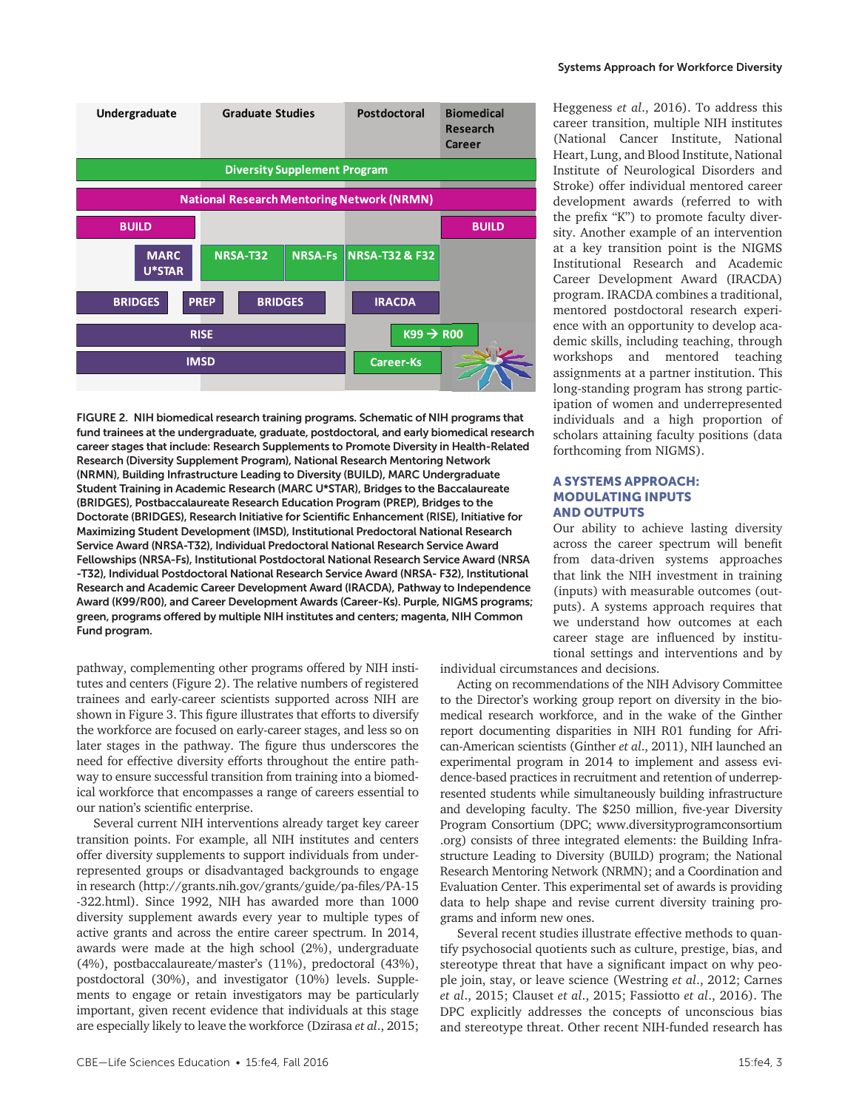

FIGURE 2. NIH biomedical research training programs. Schematic of NIH programs that fund trainees at the undergraduate, graduate, postdoctoral, and early biomedical research career stages that include: Research Supplements to Promote Diversity in Health-Related Research (Diversity Supplement Program), National Research Mentoring Network (NRMN), Building Infrastructure Leading to Diversity (BUILD), MARC Undergraduate Student Training in Academic Research (MARC U\*STAR), Bridges to the Baccalaureate (BRIDGES), Postbaccalaureate Research Education Program (PREP), Bridges to the Doctorate (BRIDGES), Research Initiative for Scientific Enhancement (RISE), Initiative for Maximizing Student Development (IMSD), Institutional Predoctoral National Research Service Award (NRSA-T32), Individual Predoctoral National Research Service Award Fellowships (NRSA-Fs), Institutional Postdoctoral National Research Service Award (NRSA -T32), Individual Postdoctoral National Research Service Award (NRSA- F32), Institutional Research and Academic Career Development Award (IRACDA), Pathway to Independence Award (K99/R00), and Career Development Awards (Career-Ks). Purple, NIGMS programs; green, programs offered by multiple NIH institutes and centers; magenta, NIH Common Fund program.

pathway, complementing other programs offered by NIH institutes and centers (Figure 2). The relative numbers of registered trainees and early-career scientists supported across NIH are shown in Figure 3. This figure illustrates that efforts to diversify the workforce are focused on early-career stages, and less so on later stages in the pathway. The figure thus underscores the need for effective diversity efforts throughout the entire pathway to ensure successful transition from training into a biomedical workforce that encompasses a range of careers essential to our nation's scientific enterprise.

Several current NIH interventions already target key career transition points. For example, all NIH institutes and centers offer diversity supplements to support individuals from underrepresented groups or disadvantaged backgrounds to engage in research (http://grants.nih.gov/grants/guide/pa-files/PA-15 -322.html). Since 1992, NIH has awarded more than 1000 diversity supplement awards every year to multiple types of active grants and across the entire career spectrum. In 2014, awards were made at the high school (2%), undergraduate (4%), postbaccalaureate/master's (11%), predoctoral (43%), postdoctoral (30%), and investigator (10%) levels. Supplements to engage or retain investigators may be particularly important, given recent evidence that individuals at this stage are especially likely to leave the workforce (Dzirasa *et al*., 2015; Systems Approach for Workforce Diversity

Heggeness *et al*., 2016). To address this career transition, multiple NIH institutes (National Cancer Institute, National Heart, Lung, and Blood Institute, National Institute of Neurological Disorders and Stroke) offer individual mentored career development awards (referred to with the prefix "K") to promote faculty diversity. Another example of an intervention at a key transition point is the NIGMS Institutional Research and Academic Career Development Award (IRACDA) program. IRACDA combines a traditional, mentored postdoctoral research experience with an opportunity to develop academic skills, including teaching, through workshops and mentored teaching assignments at a partner institution. This long-standing program has strong participation of women and underrepresented individuals and a high proportion of scholars attaining faculty positions (data forthcoming from NIGMS).

# A SYSTEMS APPROACH: MODULATING INPUTS AND OUTPUTS

Our ability to achieve lasting diversity across the career spectrum will benefit from data-driven systems approaches that link the NIH investment in training (inputs) with measurable outcomes (outputs). A systems approach requires that we understand how outcomes at each career stage are influenced by institutional settings and interventions and by

individual circumstances and decisions.

Acting on recommendations of the NIH Advisory Committee to the Director's working group report on diversity in the biomedical research workforce, and in the wake of the Ginther report documenting disparities in NIH R01 funding for African-American scientists (Ginther *et al*., 2011), NIH launched an experimental program in 2014 to implement and assess evidence-based practices in recruitment and retention of underrepresented students while simultaneously building infrastructure and developing faculty. The \$250 million, five-year Diversity Program Consortium (DPC; [www.diversityprogramconsortium](http://www.diversityprogramconsortium.org) [.org\)](http://www.diversityprogramconsortium.org) consists of three integrated elements: the Building Infrastructure Leading to Diversity (BUILD) program; the National Research Mentoring Network (NRMN); and a Coordination and Evaluation Center. This experimental set of awards is providing data to help shape and revise current diversity training programs and inform new ones.

Several recent studies illustrate effective methods to quantify psychosocial quotients such as culture, prestige, bias, and stereotype threat that have a significant impact on why people join, stay, or leave science (Westring *et al*., 2012; Carnes *et al*., 2015; Clauset *et al*., 2015; Fassiotto *et al*., 2016). The DPC explicitly addresses the concepts of unconscious bias and stereotype threat. Other recent NIH-funded research has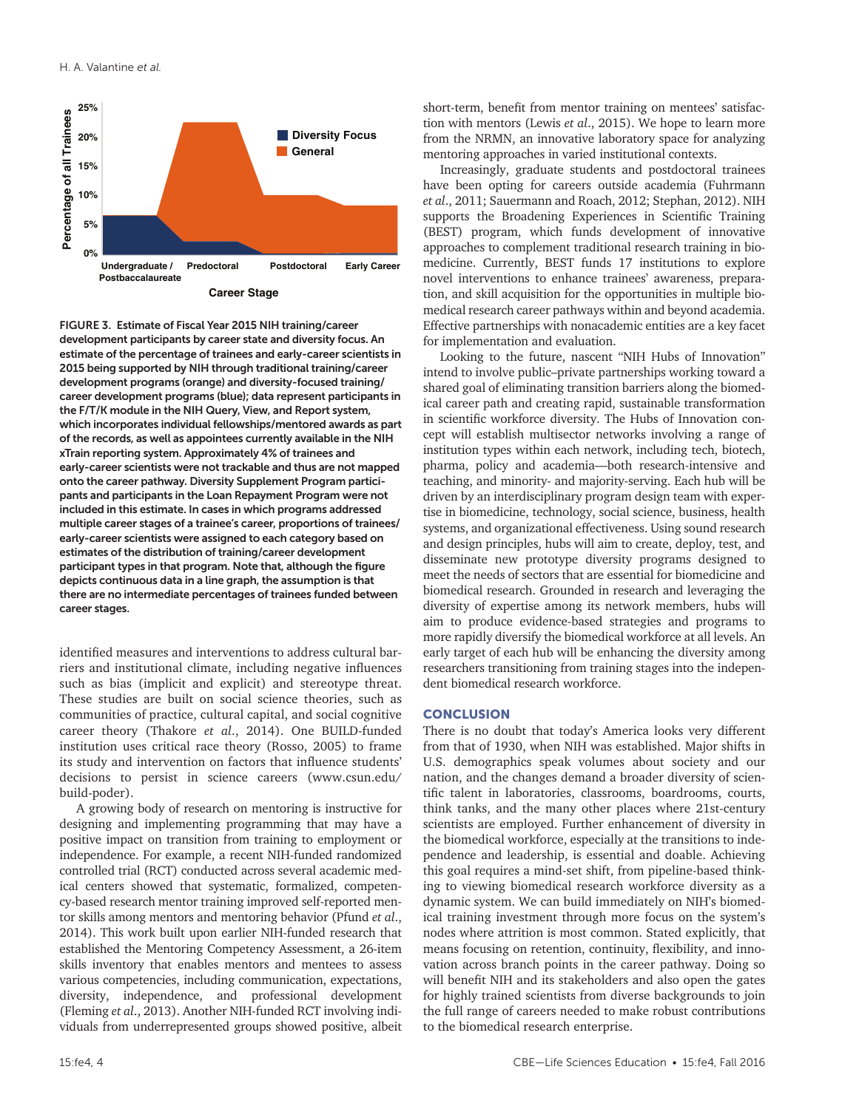

FIGURE 3. Estimate of Fiscal Year 2015 NIH training/career development participants by career state and diversity focus. An estimate of the percentage of trainees and early-career scientists in 2015 being supported by NIH through traditional training/career development programs (orange) and diversity-focused training/ career development programs (blue); data represent participants in the F/T/K module in the NIH Query, View, and Report system, which incorporates individual fellowships/mentored awards as part of the records, as well as appointees currently available in the NIH xTrain reporting system. Approximately 4% of trainees and early-career scientists were not trackable and thus are not mapped onto the career pathway. Diversity Supplement Program participants and participants in the Loan Repayment Program were not included in this estimate. In cases in which programs addressed multiple career stages of a trainee's career, proportions of trainees/ early-career scientists were assigned to each category based on estimates of the distribution of training/career development participant types in that program. Note that, although the figure depicts continuous data in a line graph, the assumption is that there are no intermediate percentages of trainees funded between career stages.

identified measures and interventions to address cultural barriers and institutional climate, including negative influences such as bias (implicit and explicit) and stereotype threat. These studies are built on social science theories, such as communities of practice, cultural capital, and social cognitive career theory (Thakore *et al*., 2014). One BUILD-funded institution uses critical race theory (Rosso, 2005) to frame its study and intervention on factors that influence students' decisions to persist in science careers (www.csun.edu/ build-poder).

A growing body of research on mentoring is instructive for designing and implementing programming that may have a positive impact on transition from training to employment or independence. For example, a recent NIH-funded randomized controlled trial (RCT) conducted across several academic medical centers showed that systematic, formalized, competency-based research mentor training improved self-reported mentor skills among mentors and mentoring behavior (Pfund *et al*., 2014). This work built upon earlier NIH-funded research that established the Mentoring Competency Assessment, a 26-item skills inventory that enables mentors and mentees to assess various competencies, including communication, expectations, diversity, independence, and professional development (Fleming *et al*., 2013). Another NIH-funded RCT involving individuals from underrepresented groups showed positive, albeit short-term, benefit from mentor training on mentees' satisfaction with mentors (Lewis *et al*., 2015). We hope to learn more from the NRMN, an innovative laboratory space for analyzing mentoring approaches in varied institutional contexts.

Increasingly, graduate students and postdoctoral trainees have been opting for careers outside academia (Fuhrmann *et al*., 2011; Sauermann and Roach, 2012; Stephan, 2012). NIH supports the Broadening Experiences in Scientific Training (BEST) program, which funds development of innovative approaches to complement traditional research training in biomedicine. Currently, BEST funds 17 institutions to explore novel interventions to enhance trainees' awareness, preparation, and skill acquisition for the opportunities in multiple biomedical research career pathways within and beyond academia. Effective partnerships with nonacademic entities are a key facet for implementation and evaluation.

Looking to the future, nascent "NIH Hubs of Innovation" intend to involve public–private partnerships working toward a shared goal of eliminating transition barriers along the biomedical career path and creating rapid, sustainable transformation in scientific workforce diversity. The Hubs of Innovation concept will establish multisector networks involving a range of institution types within each network, including tech, biotech, pharma, policy and academia—both research-intensive and teaching, and minority- and majority-serving. Each hub will be driven by an interdisciplinary program design team with expertise in biomedicine, technology, social science, business, health systems, and organizational effectiveness. Using sound research and design principles, hubs will aim to create, deploy, test, and disseminate new prototype diversity programs designed to meet the needs of sectors that are essential for biomedicine and biomedical research. Grounded in research and leveraging the diversity of expertise among its network members, hubs will aim to produce evidence-based strategies and programs to more rapidly diversify the biomedical workforce at all levels. An early target of each hub will be enhancing the diversity among researchers transitioning from training stages into the independent biomedical research workforce.

## **CONCLUSION**

There is no doubt that today's America looks very different from that of 1930, when NIH was established. Major shifts in U.S. demographics speak volumes about society and our nation, and the changes demand a broader diversity of scientific talent in laboratories, classrooms, boardrooms, courts, think tanks, and the many other places where 21st-century scientists are employed. Further enhancement of diversity in the biomedical workforce, especially at the transitions to independence and leadership, is essential and doable. Achieving this goal requires a mind-set shift, from pipeline-based thinking to viewing biomedical research workforce diversity as a dynamic system. We can build immediately on NIH's biomedical training investment through more focus on the system's nodes where attrition is most common. Stated explicitly, that means focusing on retention, continuity, flexibility, and innovation across branch points in the career pathway. Doing so will benefit NIH and its stakeholders and also open the gates for highly trained scientists from diverse backgrounds to join the full range of careers needed to make robust contributions to the biomedical research enterprise.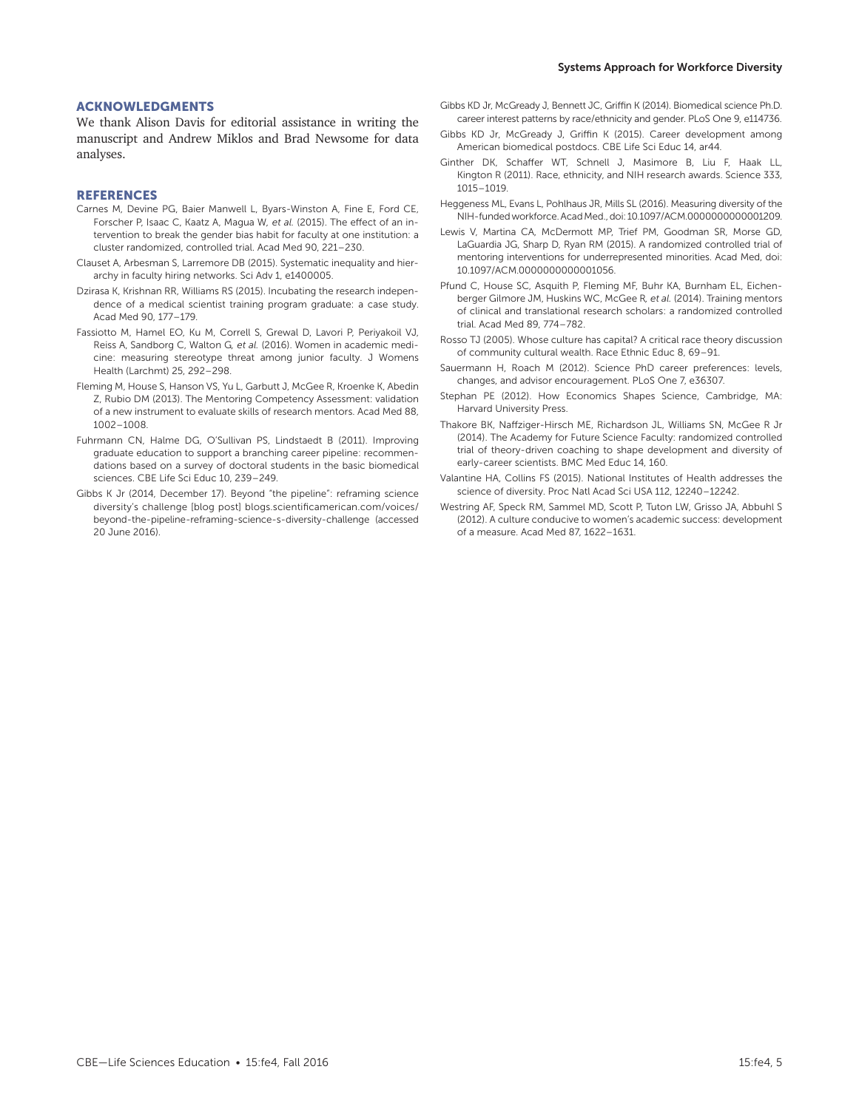#### Systems Approach for Workforce Diversity

### ACKNOWLEDGMENTS

We thank Alison Davis for editorial assistance in writing the manuscript and Andrew Miklos and Brad Newsome for data analyses.

### **REFERENCES**

- Carnes M, Devine PG, Baier Manwell L, Byars-Winston A, Fine E, Ford CE, Forscher P, Isaac C, Kaatz A, Magua W*, et al.* (2015). The effect of an intervention to break the gender bias habit for faculty at one institution: a cluster randomized, controlled trial. Acad Med 90, 221–230.
- Clauset A, Arbesman S, Larremore DB (2015). Systematic inequality and hierarchy in faculty hiring networks. Sci Adv 1, e1400005.
- Dzirasa K, Krishnan RR, Williams RS (2015). Incubating the research independence of a medical scientist training program graduate: a case study. Acad Med 90, 177–179.
- Fassiotto M, Hamel EO, Ku M, Correll S, Grewal D, Lavori P, Periyakoil VJ, Reiss A, Sandborg C, Walton G*, et al.* (2016). Women in academic medicine: measuring stereotype threat among junior faculty. J Womens Health (Larchmt) 25, 292–298.
- Fleming M, House S, Hanson VS, Yu L, Garbutt J, McGee R, Kroenke K, Abedin Z, Rubio DM (2013). The Mentoring Competency Assessment: validation of a new instrument to evaluate skills of research mentors. Acad Med 88, 1002–1008.
- Fuhrmann CN, Halme DG, O'Sullivan PS, Lindstaedt B (2011). Improving graduate education to support a branching career pipeline: recommendations based on a survey of doctoral students in the basic biomedical sciences. CBE Life Sci Educ 10, 239–249.
- Gibbs K Jr (2014, December 17). Beyond "the pipeline": reframing science diversity's challenge [blog post] blogs.[scientificamerican.com/voices/](http://blogs.scientificamerican.com/voices/beyond-the-pipeline-reframing-science-s-diversity-challenge) [beyond-the-pipeline-reframing-science-s-diversity-challenge](http://blogs.scientificamerican.com/voices/beyond-the-pipeline-reframing-science-s-diversity-challenge) (accessed 20 June 2016).
- Gibbs KD Jr, McGready J, Bennett JC, Griffin K (2014). Biomedical science Ph.D. career interest patterns by race/ethnicity and gender. PLoS One 9, e114736.
- Gibbs KD Jr, McGready J, Griffin K (2015). Career development among American biomedical postdocs. CBE Life Sci Educ 14, ar44.
- Ginther DK, Schaffer WT, Schnell J, Masimore B, Liu F, Haak LL, Kington R (2011). Race, ethnicity, and NIH research awards. Science 333, 1015–1019.
- Heggeness ML, Evans L, Pohlhaus JR, Mills SL (2016). Measuring diversity of the NIH-funded workforce. Acad Med., doi: 10.1097/ACM.0000000000001209.
- Lewis V, Martina CA, McDermott MP, Trief PM, Goodman SR, Morse GD, LaGuardia JG, Sharp D, Ryan RM (2015). A randomized controlled trial of mentoring interventions for underrepresented minorities. Acad Med, doi: 10.1097/ACM.0000000000001056.
- Pfund C, House SC, Asquith P, Fleming MF, Buhr KA, Burnham EL, Eichenberger Gilmore JM, Huskins WC, McGee R*, et al.* (2014). Training mentors of clinical and translational research scholars: a randomized controlled trial. Acad Med 89, 774–782.
- Rosso TJ (2005). Whose culture has capital? A critical race theory discussion of community cultural wealth. Race Ethnic Educ 8, 69–91.
- Sauermann H, Roach M (2012). Science PhD career preferences: levels, changes, and advisor encouragement. PLoS One 7, e36307.
- Stephan PE (2012). How Economics Shapes Science, Cambridge, MA: Harvard University Press.
- Thakore BK, Naffziger-Hirsch ME, Richardson JL, Williams SN, McGee R Jr (2014). The Academy for Future Science Faculty: randomized controlled trial of theory-driven coaching to shape development and diversity of early-career scientists. BMC Med Educ 14, 160.
- Valantine HA, Collins FS (2015). National Institutes of Health addresses the science of diversity. Proc Natl Acad Sci USA 112, 12240–12242.
- Westring AF, Speck RM, Sammel MD, Scott P, Tuton LW, Grisso JA, Abbuhl S (2012). A culture conducive to women's academic success: development of a measure. Acad Med 87, 1622–1631.